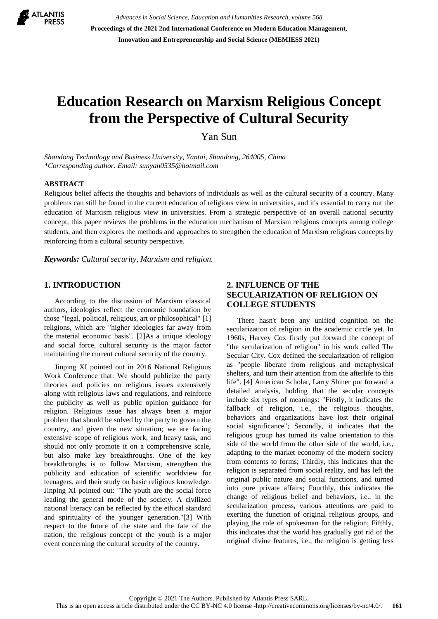

*Advances in Social Science, Education and Humanities Research, volume 568* **Proceedings of the 2021 2nd International Conference on Modern Education Management, Innovation and Entrepreneurship and Social Science (MEMIESS 2021)**

# **Education Research on Marxism Religious Concept from the Perspective of Cultural Security**

Yan Sun

*Shandong Technology and Business University, Yantai, Shandong, 264005, China \*Corresponding author. Email: [sunyan0535@hotmail.com](mailto:%E6%88%91%E7%9A%84%E9%82%AE%E7%AE%B1%E6%98%AFsunyan0535@hotmail.com)*

#### **ABSTRACT**

Religious belief affects the thoughts and behaviors of individuals as well as the cultural security of a country. Many problems can still be found in the current education of religious view in universities, and it's essential to carry out the education of Marxism religious view in universities. From a strategic perspective of an overall national security concept, this paper reviews the problems in the education mechanism of Marxism religious concepts among college students, and then explores the methods and approaches to strengthen the education of Marxism religious concepts by reinforcing from a cultural security perspective.

*Keywords: Cultural security, Marxism and religion.*

#### **1. INTRODUCTION**

According to the discussion of Marxism classical authors, ideologies reflect the economic foundation by those "legal, political, religious, art or philosophical" [\[1\]](#page-6-0) religions, which are "higher ideologies far away from the material economic basis". [\[2\]](#page-6-1)As a unique ideology and social force, cultural security is the major factor maintaining the current cultural security of the country.

Jinping XI pointed out in 2016 National Religious Work Conference that: We should publicize the party theories and policies on religious issues extensively along with religious laws and regulations, and reinforce the publicity as well as public opinion guidance for religion. Religious issue has always been a major problem that should be solved by the party to govern the country, and given the new situation; we are facing extensive scope of religious work, and heavy task, and should not only promote it on a comprehensive scale, but also make key breakthroughs. One of the key breakthroughs is to follow Marxism, strengthen the publicity and education of scientific worldview for teenagers, and their study on basic religious knowledge. Jinping XI pointed out: "The youth are the social force leading the general mode of the society. A civilized national literacy can be reflected by the ethical standard and spirituality of the younger generation."[\[3\]](#page-6-2) With respect to the future of the state and the fate of the nation, the religious concept of the youth is a major event concerning the cultural security of the country.

# **2. INFLUENCE OF THE SECULARIZATION OF RELIGION ON COLLEGE STUDENTS**

There hasn't been any unified cognition on the secularization of religion in the academic circle yet. In 1960s, Harvey Cox firstly put forward the concept of "the secularization of religion" in his work called The Secular City. Cox defined the secularization of religion as "people liberate from religious and metaphysical shelters, and turn their attention from the afterlife to this life". [\[4\]](#page-6-3) American Scholar, Larry Shiner put forward a detailed analysis, holding that the secular concepts include six types of meanings: "Firstly, it indicates the fallback of religion, i.e., the religious thoughts, behaviors and organizations have lost their original social significance"; Secondly, it indicates that the religious group has turned its value orientation to this side of the world from the other side of the world, i.e., adapting to the market economy of the modern society from contents to forms; Thirdly, this indicates that the religion is separated from social reality, and has left the original public nature and social functions, and turned into pure private affairs; Fourthly, this indicates the change of religious belief and behaviors, i.e., in the secularization process, various attentions are paid to exerting the function of original religious groups, and playing the role of spokesman for the religion; Fifthly, this indicates that the world has gradually got rid of the original divine features, i.e., the religion is getting less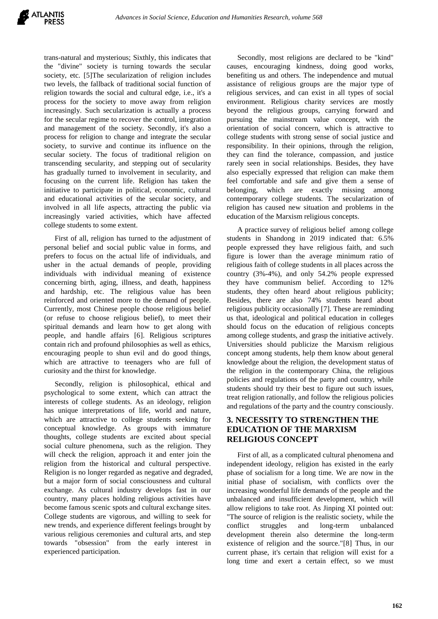trans-natural and mysterious; Sixthly, this indicates that the "divine" society is turning towards the secular society, etc. [\[5\]](#page-6-4)The secularization of religion includes two levels, the fallback of traditional social function of religion towards the social and cultural edge, i.e., it's a process for the society to move away from religion increasingly. Such secularization is actually a process for the secular regime to recover the control, integration and management of the society. Secondly, it's also a process for religion to change and integrate the secular society, to survive and continue its influence on the secular society. The focus of traditional religion on transcending secularity, and stepping out of secularity has gradually turned to involvement in secularity, and focusing on the current life. Religion has taken the initiative to participate in political, economic, cultural and educational activities of the secular society, and involved in all life aspects, attracting the public via increasingly varied activities, which have affected college students to some extent.

First of all, religion has turned to the adjustment of personal belief and social public value in forms, and prefers to focus on the actual life of individuals, and usher in the actual demands of people, providing individuals with individual meaning of existence concerning birth, aging, illness, and death, happiness and hardship, etc. The religious value has been reinforced and oriented more to the demand of people. Currently, most Chinese people choose religious belief (or refuse to choose religious belief), to meet their spiritual demands and learn how to get along with people, and handle affairs [\[6\]](#page-6-5). Religious scriptures contain rich and profound philosophies as well as ethics, encouraging people to shun evil and do good things, which are attractive to teenagers who are full of curiosity and the thirst for knowledge.

Secondly, religion is philosophical, ethical and psychological to some extent, which can attract the interests of college students. As an ideology, religion has unique interpretations of life, world and nature, which are attractive to college students seeking for conceptual knowledge. As groups with immature thoughts, college students are excited about special social culture phenomena, such as the religion. They will check the religion, approach it and enter join the religion from the historical and cultural perspective. Religion is no longer regarded as negative and degraded, but a major form of social consciousness and cultural exchange. As cultural industry develops fast in our country, many places holding religious activities have become famous scenic spots and cultural exchange sites. College students are vigorous, and willing to seek for new trends, and experience different feelings brought by various religious ceremonies and cultural arts, and step towards "obsession" from the early interest in experienced participation.

Secondly, most religions are declared to be "kind" causes, encouraging kindness, doing good works, benefiting us and others. The independence and mutual assistance of religious groups are the major type of religious services, and can exist in all types of social environment. Religious charity services are mostly beyond the religious groups, carrying forward and pursuing the mainstream value concept, with the orientation of social concern, which is attractive to college students with strong sense of social justice and responsibility. In their opinions, through the religion, they can find the tolerance, compassion, and justice rarely seen in social relationships. Besides, they have also especially expressed that religion can make them feel comfortable and safe and give them a sense of belonging, which are exactly missing among contemporary college students. The secularization of religion has caused new situation and problems in the education of the Marxism religious concepts.

A practice survey of religious belief among college students in Shandong in 2019 indicated that: 6.5% people expressed they have religious faith, and such figure is lower than the average minimum ratio of religious faith of college students in all places across the country (3%-4%), and only 54.2% people expressed they have communism belief. According to 12% students, they often heard about religious publicity; Besides, there are also 74% students heard about religious publicity occasionally [\[7\]](#page-6-6). These are reminding us that, ideological and political education in colleges should focus on the education of religious concepts among college students, and grasp the initiative actively. Universities should publicize the Marxism religious concept among students, help them know about general knowledge about the religion, the development status of the religion in the contemporary China, the religious policies and regulations of the party and country, while students should try their best to figure out such issues, treat religion rationally, and follow the religious policies and regulations of the party and the country consciously.

### **3. NECESSITY TO STRENGTHEN THE EDUCATION OF THE MARXISM RELIGIOUS CONCEPT**

First of all, as a complicated cultural phenomena and independent ideology, religion has existed in the early phase of socialism for a long time. We are now in the initial phase of socialism, with conflicts over the increasing wonderful life demands of the people and the unbalanced and insufficient development, which will allow religions to take root. As Jinping XI pointed out: "The source of religion is the realistic society, while the conflict struggles and long-term unbalanced development therein also determine the long-term existence of religion and the source."[\[8\]](#page-6-7) Thus, in our current phase, it's certain that religion will exist for a long time and exert a certain effect, so we must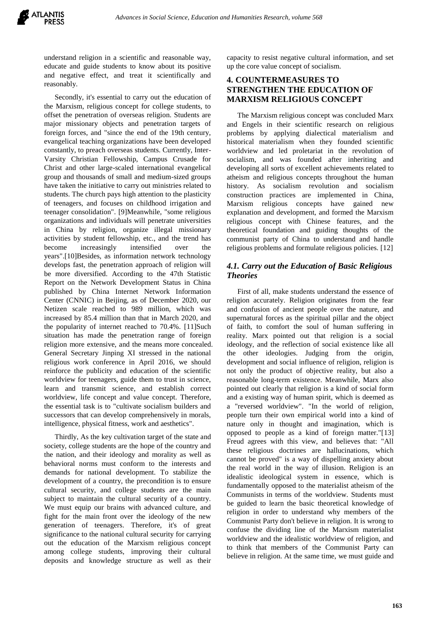understand religion in a scientific and reasonable way, educate and guide students to know about its positive and negative effect, and treat it scientifically and reasonably.

Secondly, it's essential to carry out the education of the Marxism, religious concept for college students, to offset the penetration of overseas religion. Students are major missionary objects and penetration targets of foreign forces, and "since the end of the 19th century, evangelical teaching organizations have been developed constantly, to preach overseas students. Currently, Inter-Varsity Christian Fellowship, Campus Crusade for Christ and other large-scaled international evangelical group and thousands of small and medium-sized groups have taken the initiative to carry out ministries related to students. The church pays high attention to the plasticity of teenagers, and focuses on childhood irrigation and teenager consolidation". [\[9\]](#page-6-8)Meanwhile, "some religious organizations and individuals will penetrate universities in China by religion, organize illegal missionary activities by student fellowship, etc., and the trend has become increasingly intensified over the years".[\[10\]](#page-6-9)Besides, as information network technology develops fast, the penetration approach of religion will be more diversified. According to the 47th Statistic Report on the Network Development Status in China published by China Internet Network Information Center (CNNIC) in Beijing, as of December 2020, our Netizen scale reached to 989 million, which was increased by 85.4 million than that in March 2020, and the popularity of internet reached to 70.4%. [11]Such situation has made the penetration range of foreign religion more extensive, and the means more concealed. General Secretary Jinping XI stressed in the national religious work conference in April 2016, we should reinforce the publicity and education of the scientific worldview for teenagers, guide them to trust in science, learn and transmit science, and establish correct worldview, life concept and value concept. Therefore, the essential task is to "cultivate socialism builders and successors that can develop comprehensively in morals, intelligence, physical fitness, work and aesthetics".

Thirdly, As the key cultivation target of the state and society, college students are the hope of the country and the nation, and their ideology and morality as well as behavioral norms must conform to the interests and demands for national development. To stabilize the development of a country, the precondition is to ensure cultural security, and college students are the main subject to maintain the cultural security of a country. We must equip our brains with advanced culture, and fight for the main front over the ideology of the new generation of teenagers. Therefore, it's of great significance to the national cultural security for carrying out the education of the Marxism religious concept among college students, improving their cultural deposits and knowledge structure as well as their capacity to resist negative cultural information, and set up the core value concept of socialism.

# **4. COUNTERMEASURES TO STRENGTHEN THE EDUCATION OF MARXISM RELIGIOUS CONCEPT**

The Marxism religious concept was concluded Marx and Engels in their scientific research on religious problems by applying dialectical materialism and historical materialism when they founded scientific worldview and led proletariat in the revolution of socialism, and was founded after inheriting and developing all sorts of excellent achievements related to atheism and religious concepts throughout the human history. As socialism revolution and socialism construction practices are implemented in China, Marxism religious concepts have gained new explanation and development, and formed the Marxism religious concept with Chinese features, and the theoretical foundation and guiding thoughts of the communist party of China to understand and handle religious problems and formulate religious policies. [\[12\]](#page-6-10)

# *4.1. Carry out the Education of Basic Religious Theories*

First of all, make students understand the essence of religion accurately. Religion originates from the fear and confusion of ancient people over the nature, and supernatural forces as the spiritual pillar and the object of faith, to comfort the soul of human suffering in reality. Marx pointed out that religion is a social ideology, and the reflection of social existence like all the other ideologies. Judging from the origin, development and social influence of religion, religion is not only the product of objective reality, but also a reasonable long-term existence. Meanwhile, Marx also pointed out clearly that religion is a kind of social form and a existing way of human spirit, which is deemed as a "reversed worldview". "In the world of religion, people turn their own empirical world into a kind of nature only in thought and imagination, which is opposed to people as a kind of foreign matter."[\[13\]](#page-6-11) Freud agrees with this view, and believes that: "All these religious doctrines are hallucinations, which cannot be proved" is a way of dispelling anxiety about the real world in the way of illusion. Religion is an idealistic ideological system in essence, which is fundamentally opposed to the materialist atheism of the Communists in terms of the worldview. Students must be guided to learn the basic theoretical knowledge of religion in order to understand why members of the Communist Party don't believe in religion. It is wrong to confuse the dividing line of the Marxism materialist worldview and the idealistic worldview of religion, and to think that members of the Communist Party can believe in religion. At the same time, we must guide and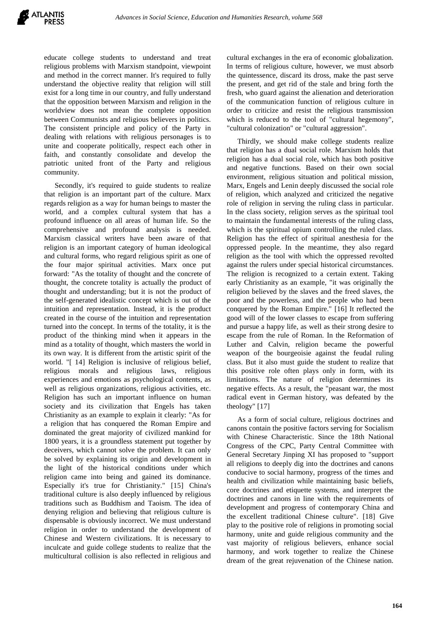educate college students to understand and treat religious problems with Marxism standpoint, viewpoint and method in the correct manner. It's required to fully understand the objective reality that religion will still exist for a long time in our country, and fully understand that the opposition between Marxism and religion in the worldview does not mean the complete opposition between Communists and religious believers in politics. The consistent principle and policy of the Party in dealing with relations with religious personages is to unite and cooperate politically, respect each other in faith, and constantly consolidate and develop the patriotic united front of the Party and religious community.

Secondly, it's required to guide students to realize that religion is an important part of the culture. Marx regards religion as a way for human beings to master the world, and a complex cultural system that has a profound influence on all areas of human life. So the comprehensive and profound analysis is needed. Marxism classical writers have been aware of that religion is an important category of human ideological and cultural forms, who regard religious spirit as one of the four major spiritual activities. Marx once put forward: "As the totality of thought and the concrete of thought, the concrete totality is actually the product of thought and understanding; but it is not the product of the self-generated idealistic concept which is out of the intuition and representation. Instead, it is the product created in the course of the intuition and representation turned into the concept. In terms of the totality, it is the product of the thinking mind when it appears in the mind as a totality of thought, which masters the world in its own way. It is different from the artistic spirit of the world. "[ [14\]](#page-6-12) Religion is inclusive of religious belief, religious morals and religious laws, religious experiences and emotions as psychological contents, as well as religious organizations, religious activities, etc. Religion has such an important influence on human society and its civilization that Engels has taken Christianity as an example to explain it clearly: "As for a religion that has conquered the Roman Empire and dominated the great majority of civilized mankind for 1800 years, it is a groundless statement put together by deceivers, which cannot solve the problem. It can only be solved by explaining its origin and development in the light of the historical conditions under which religion came into being and gained its dominance. Especially it's true for Christianity." [\[15\]](#page-6-13) China's traditional culture is also deeply influenced by religious traditions such as Buddhism and Taoism. The idea of denying religion and believing that religious culture is dispensable is obviously incorrect. We must understand religion in order to understand the development of Chinese and Western civilizations. It is necessary to inculcate and guide college students to realize that the multicultural collision is also reflected in religious and cultural exchanges in the era of economic globalization. In terms of religious culture, however, we must absorb the quintessence, discard its dross, make the past serve the present, and get rid of the stale and bring forth the fresh, who guard against the alienation and deterioration of the communication function of religious culture in order to criticize and resist the religious transmission which is reduced to the tool of "cultural hegemony", "cultural colonization" or "cultural aggression".

Thirdly, we should make college students realize that religion has a dual social role. Marxism holds that religion has a dual social role, which has both positive and negative functions. Based on their own social environment, religious situation and political mission, Marx, Engels and Lenin deeply discussed the social role of religion, which analyzed and criticized the negative role of religion in serving the ruling class in particular. In the class society, religion serves as the spiritual tool to maintain the fundamental interests of the ruling class, which is the spiritual opium controlling the ruled class. Religion has the effect of spiritual anesthesia for the oppressed people. In the meantime, they also regard religion as the tool with which the oppressed revolted against the rulers under special historical circumstances. The religion is recognized to a certain extent. Taking early Christianity as an example, "it was originally the religion believed by the slaves and the freed slaves, the poor and the powerless, and the people who had been conquered by the Roman Empire." [\[16\]](#page-6-0) It reflected the good will of the lower classes to escape from suffering and pursue a happy life, as well as their strong desire to escape from the rule of Roman. In the Reformation of Luther and Calvin, religion became the powerful weapon of the bourgeoisie against the feudal ruling class. But it also must guide the student to realize that this positive role often plays only in form, with its limitations. The nature of religion determines its negative effects. As a result, the "peasant war, the most radical event in German history, was defeated by the theology" [\[17\]](#page-6-2)

As a form of social culture, religious doctrines and canons contain the positive factors serving for Socialism with Chinese Characteristic. Since the 18th National Congress of the CPC, Party Central Committee with General Secretary Jinping XI has proposed to "support all religions to deeply dig into the doctrines and canons conducive to social harmony, progress of the times and health and civilization while maintaining basic beliefs, core doctrines and etiquette systems, and interpret the doctrines and canons in line with the requirements of development and progress of contemporary China and the excellent traditional Chinese culture". [\[18\]](#page-6-3) Give play to the positive role of religions in promoting social harmony, unite and guide religious community and the vast majority of religious believers, enhance social harmony, and work together to realize the Chinese dream of the great rejuvenation of the Chinese nation.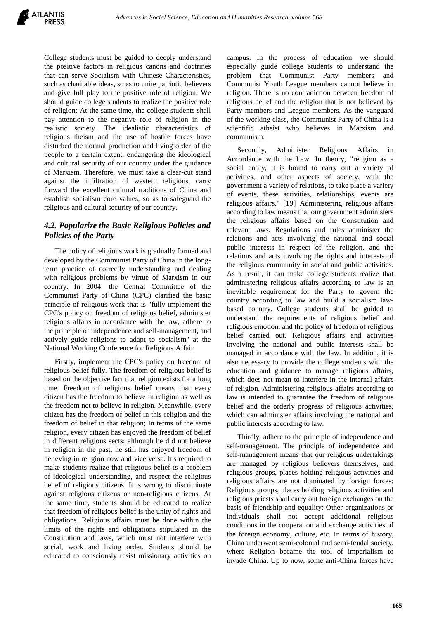College students must be guided to deeply understand the positive factors in religious canons and doctrines that can serve Socialism with Chinese Characteristics, such as charitable ideas, so as to unite patriotic believers and give full play to the positive role of religion. We should guide college students to realize the positive role of religion; At the same time, the college students shall pay attention to the negative role of religion in the realistic society. The idealistic characteristics of religious theism and the use of hostile forces have disturbed the normal production and living order of the people to a certain extent, endangering the ideological and cultural security of our country under the guidance of Marxism. Therefore, we must take a clear-cut stand against the infiltration of western religions, carry forward the excellent cultural traditions of China and establish socialism core values, so as to safeguard the religious and cultural security of our country.

### *4.2. Popularize the Basic Religious Policies and Policies of the Party*

The policy of religious work is gradually formed and developed by the Communist Party of China in the longterm practice of correctly understanding and dealing with religious problems by virtue of Marxism in our country. In 2004, the Central Committee of the Communist Party of China (CPC) clarified the basic principle of religious work that is "fully implement the CPC's policy on freedom of religious belief, administer religious affairs in accordance with the law, adhere to the principle of independence and self-management, and actively guide religions to adapt to socialism" at the National Working Conference for Religious Affair.

Firstly, implement the CPC's policy on freedom of religious belief fully. The freedom of religious belief is based on the objective fact that religion exists for a long time. Freedom of religious belief means that every citizen has the freedom to believe in religion as well as the freedom not to believe in religion. Meanwhile, every citizen has the freedom of belief in this religion and the freedom of belief in that religion; In terms of the same religion, every citizen has enjoyed the freedom of belief in different religious sects; although he did not believe in religion in the past, he still has enjoyed freedom of believing in religion now and vice versa. It's required to make students realize that religious belief is a problem of ideological understanding, and respect the religious belief of religious citizens. It is wrong to discriminate against religious citizens or non-religious citizens. At the same time, students should be educated to realize that freedom of religious belief is the unity of rights and obligations. Religious affairs must be done within the limits of the rights and obligations stipulated in the Constitution and laws, which must not interfere with social, work and living order. Students should be educated to consciously resist missionary activities on campus. In the process of education, we should especially guide college students to understand the problem that Communist Party members and Communist Youth League members cannot believe in religion. There is no contradiction between freedom of religious belief and the religion that is not believed by Party members and League members. As the vanguard of the working class, the Communist Party of China is a scientific atheist who believes in Marxism and communism.

Secondly, Administer Religious Affairs in Accordance with the Law. In theory, "religion as a social entity, it is bound to carry out a variety of activities, and other aspects of society, with the government a variety of relations, to take place a variety of events, these activities, relationships, events are religious affairs." [\[19\]](#page-6-5) Administering religious affairs according to law means that our government administers the religious affairs based on the Constitution and relevant laws. Regulations and rules administer the relations and acts involving the national and social public interests in respect of the religion, and the relations and acts involving the rights and interests of the religious community in social and public activities. As a result, it can make college students realize that administering religious affairs according to law is an inevitable requirement for the Party to govern the country according to law and build a socialism lawbased country. College students shall be guided to understand the requirements of religious belief and religious emotion, and the policy of freedom of religious belief carried out. Religious affairs and activities involving the national and public interests shall be managed in accordance with the law. In addition, it is also necessary to provide the college students with the education and guidance to manage religious affairs, which does not mean to interfere in the internal affairs of religion. Administering religious affairs according to law is intended to guarantee the freedom of religious belief and the orderly progress of religious activities, which can administer affairs involving the national and public interests according to law.

Thirdly, adhere to the principle of independence and self-management. The principle of independence and self-management means that our religious undertakings are managed by religious believers themselves, and religious groups, places holding religious activities and religious affairs are not dominated by foreign forces; Religious groups, places holding religious activities and religious priests shall carry out foreign exchanges on the basis of friendship and equality; Other organizations or individuals shall not accept additional religious conditions in the cooperation and exchange activities of the foreign economy, culture, etc. In terms of history, China underwent semi-colonial and semi-feudal society, where Religion became the tool of imperialism to invade China. Up to now, some anti-China forces have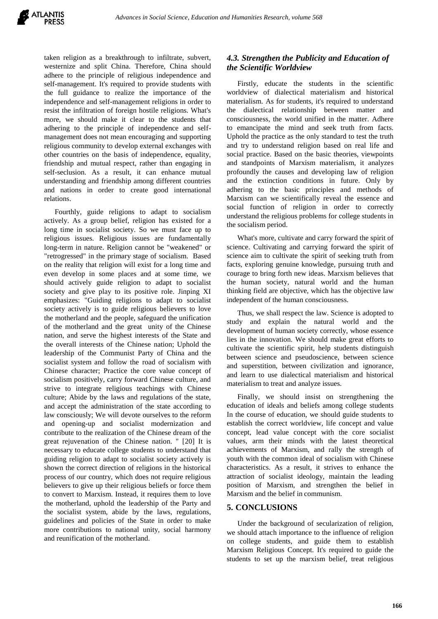taken religion as a breakthrough to infiltrate, subvert, westernize and split China. Therefore, China should adhere to the principle of religious independence and self-management. It's required to provide students with the full guidance to realize the importance of the independence and self-management religions in order to resist the infiltration of foreign hostile religions. What's more, we should make it clear to the students that adhering to the principle of independence and selfmanagement does not mean encouraging and supporting religious community to develop external exchanges with other countries on the basis of independence, equality, friendship and mutual respect, rather than engaging in self-seclusion. As a result, it can enhance mutual understanding and friendship among different countries and nations in order to create good international relations.

Fourthly, guide religions to adapt to socialism actively. As a group belief, religion has existed for a long time in socialist society. So we must face up to religious issues. Religious issues are fundamentally long-term in nature. Religion cannot be "weakened" or "retrogressed" in the primary stage of socialism. Based on the reality that religion will exist for a long time and even develop in some places and at some time, we should actively guide religion to adapt to socialist society and give play to its positive role. Jinping XI emphasizes: "Guiding religions to adapt to socialist society actively is to guide religious believers to love the motherland and the people, safeguard the unification of the motherland and the great unity of the Chinese nation, and serve the highest interests of the State and the overall interests of the Chinese nation; Uphold the leadership of the Communist Party of China and the socialist system and follow the road of socialism with Chinese character; Practice the core value concept of socialism positively, carry forward Chinese culture, and strive to integrate religious teachings with Chinese culture; Abide by the laws and regulations of the state, and accept the administration of the state according to law consciously; We will devote ourselves to the reform and opening-up and socialist modernization and contribute to the realization of the Chinese dream of the great rejuvenation of the Chinese nation. " [\[20\]](#page-6-14) It is necessary to educate college students to understand that guiding religion to adapt to socialist society actively is shown the correct direction of religions in the historical process of our country, which does not require religious believers to give up their religious beliefs or force them to convert to Marxism. Instead, it requires them to love the motherland, uphold the leadership of the Party and the socialist system, abide by the laws, regulations, guidelines and policies of the State in order to make more contributions to national unity, social harmony and reunification of the motherland.

#### *4.3. Strengthen the Publicity and Education of the Scientific Worldview*

Firstly, educate the students in the scientific worldview of dialectical materialism and historical materialism. As for students, it's required to understand the dialectical relationship between matter and consciousness, the world unified in the matter. Adhere to emancipate the mind and seek truth from facts. Uphold the practice as the only standard to test the truth and try to understand religion based on real life and social practice. Based on the basic theories, viewpoints and standpoints of Marxism materialism, it analyzes profoundly the causes and developing law of religion and the extinction conditions in future. Only by adhering to the basic principles and methods of Marxism can we scientifically reveal the essence and social function of religion in order to correctly understand the religious problems for college students in the socialism period.

What's more, cultivate and carry forward the spirit of science. Cultivating and carrying forward the spirit of science aim to cultivate the spirit of seeking truth from facts, exploring genuine knowledge, pursuing truth and courage to bring forth new ideas. Marxism believes that the human society, natural world and the human thinking field are objective, which has the objective law independent of the human consciousness.

Thus, we shall respect the law. Science is adopted to study and explain the natural world and the development of human society correctly, whose essence lies in the innovation. We should make great efforts to cultivate the scientific spirit, help students distinguish between science and pseudoscience, between science and superstition, between civilization and ignorance, and learn to use dialectical materialism and historical materialism to treat and analyze issues.

Finally, we should insist on strengthening the education of ideals and beliefs among college students In the course of education, we should guide students to establish the correct worldview, life concept and value concept, lead value concept with the core socialist values, arm their minds with the latest theoretical achievements of Marxism, and rally the strength of youth with the common ideal of socialism with Chinese characteristics. As a result, it strives to enhance the attraction of socialist ideology, maintain the leading position of Marxism, and strengthen the belief in Marxism and the belief in communism.

#### **5. CONCLUSIONS**

Under the background of secularization of religion, we should attach importance to the influence of religion on college students, and guide them to establish Marxism Religious Concept. It's required to guide the students to set up the marxism belief, treat religious